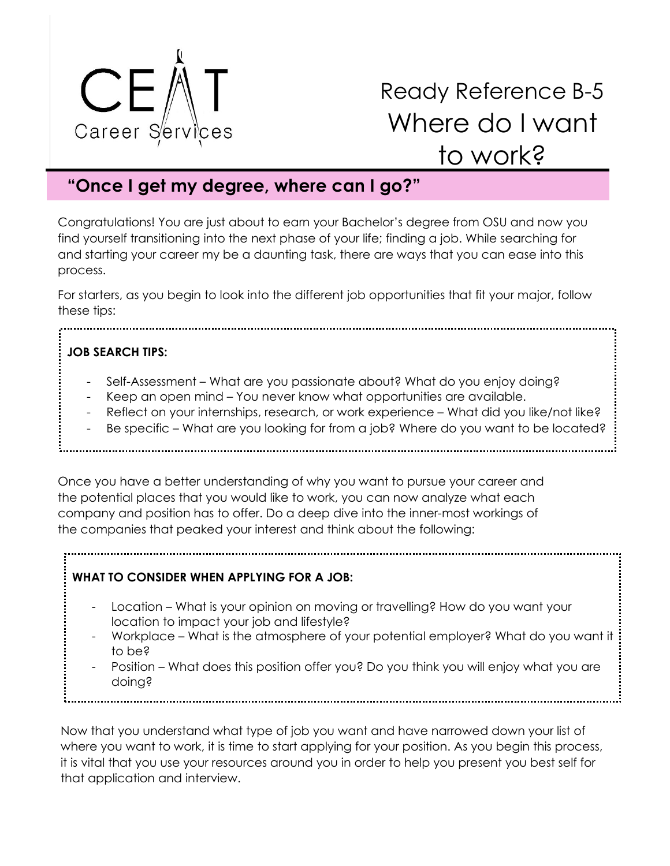

# Ready Reference B-5 Where do I want to work?

## **"Once I get my degree, where can I go?"**

Congratulations! You are just about to earn your Bachelor's degree from OSU and now you find yourself transitioning into the next phase of your life; finding a job. While searching for and starting your career my be a daunting task, there are ways that you can ease into this process.

For starters, as you begin to look into the different job opportunities that fit your major, follow these tips:

## **JOB SEARCH TIPS:**

- Self-Assessment What are you passionate about? What do you enjoy doing?
- Keep an open mind You never know what opportunities are available.
- Reflect on your internships, research, or work experience What did you like/not like?
- Be specific What are you looking for from a job? Where do you want to be located?

Once you have a better understanding of why you want to pursue your career and the potential places that you would like to work, you can now analyze what each company and position has to offer. Do a deep dive into the inner-most workings of the companies that peaked your interest and think about the following:

## **WHAT TO CONSIDER WHEN APPLYING FOR A JOB:**

- Location What is your opinion on moving or travelling? How do you want your location to impact your job and lifestyle?
- Workplace What is the atmosphere of your potential employer? What do you want it to be?
- Position What does this position offer you? Do you think you will enjoy what you are doing?

Now that you understand what type of job you want and have narrowed down your list of where you want to work, it is time to start applying for your position. As you begin this process, it is vital that you use your resources around you in order to help you present you best self for that application and interview.